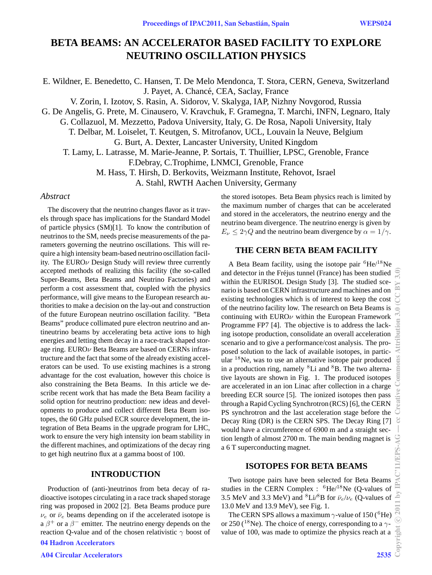# **BETA BEAMS: AN ACCELERATOR BASED FACILITY TO EXPLORE NEUTRINO OSCILLATION PHYSICS**

E. Wildner, E. Benedetto, C. Hansen, T. De Melo Mendonca, T. Stora, CERN, Geneva, Switzerland J. Payet, A. Chancé, CEA, Saclay, France

V. Zorin, I. Izotov, S. Rasin, A. Sidorov, V. Skalyga, IAP, Nizhny Novgorod, Russia

G. De Angelis, G. Prete, M. Cinausero, V. Kravchuk, F. Gramegna, T. Marchi, INFN, Legnaro, Italy

G. Collazuol, M. Mezzetto, Padova University, Italy, G. De Rosa, Napoli University, Italy

T. Delbar, M. Loiselet, T. Keutgen, S. Mitrofanov, UCL, Louvain la Neuve, Belgium

G. Burt, A. Dexter, Lancaster University, United Kingdom

T. Lamy, L. Latrasse, M. Marie-Jeanne, P. Sortais, T. Thuillier, LPSC, Grenoble, France

F.Debray, C.Trophime, LNMCI, Grenoble, France

M. Hass, T. Hirsh, D. Berkovits, Weizmann Institute, Rehovot, Israel

A. Stahl, RWTH Aachen University, Germany

### *Abstract*

The discovery that the neutrino changes flavor as it travels through space has implications for the Standard Model of particle physics (SM)[1]. To know the contribution of neutrinos to the SM, needs precise measurements of the parameters governing the neutrino oscillations. This will require a high intensity beam-based neutrino oscillation facility. The EURO $\nu$  Design Study will review three currently accepted methods of realizing this facility (the so-called Super-Beams, Beta Beams and Neutrino Factories) and perform a cost assessment that, coupled with the physics performance, will give means to the European research authorities to make a decision on the lay-out and construction of the future European neutrino oscillation facility. "Beta Beams" produce collimated pure electron neutrino and antineutrino beams by accelerating beta active ions to high energies and letting them decay in a race-track shaped storage ring. EUROν Beta Beams are based on CERNs infrastructure and the fact that some of the already existing accelerators can be used. To use existing machines is a strong advantage for the cost evaluation, however this choice is also constraining the Beta Beams. In this article we describe recent work that has made the Beta Beam facility a solid option for neutrino production: new ideas and developments to produce and collect different Beta Beam isotopes, the 60 GHz pulsed ECR source development, the integration of Beta Beams in the upgrade program for LHC, work to ensure the very high intensity ion beam stability in the different machines, and optimizations of the decay ring to get high neutrino flux at a gamma boost of 100.

### **INTRODUCTION**

Production of (anti-)neutrinos from beta decay of radioactive isotopes circulating in a race track shaped storage ring was proposed in 2002 [2]. Beta Beams produce pure  $\nu_e$  or  $\bar{\nu}_e$  beams depending on if the accelerated isotope is a  $\beta$ <sup>+</sup> or a  $\beta$ <sup>−</sup> emitter. The neutrino energy depends on the reaction Q-value and of the chosen relativistic  $\gamma$  boost of 04 Hadron Accelerators

A04 Circular Accelerators 2535

the stored isotopes. Beta Beam physics reach is limited by the maximum number of charges that can be accelerated and stored in the accelerators, the neutrino energy and the neutrino beam divergence. The neutrino energy is given by  $E_{\nu} \leq 2\gamma Q$  and the neutrino beam divergence by  $\alpha = 1/\gamma$ .

## **THE CERN BETA BEAM FACILITY**

A Beta Beam facility, using the isotope pair  ${}^{6}$ He/ ${}^{18}$ Ne and detector in the Fréjus tunnel (France) has been studied within the EURISOL Design Study [3]. The studied scenario is based on CERN infrastructure and machines and on existing technologies which is of interest to keep the cost of the neutrino facility low. The research on Beta Beams is continuing with  $EUROV$  within the European Framework Programme FP7 [4]. The objective is to address the lacking isotope production, consolidate an overall acceleration scenario and to give a performance/cost analysis. The proposed solution to the lack of available isotopes, in particular <sup>18</sup>Ne, was to use an alternative isotope pair produced in a production ring, namely  ${}^{8}$ Li and  ${}^{8}$ B. The two alternative layouts are shown in Fig. 1. The produced isotopes are accelerated in an ion Linac after collection in a charge breeding ECR source [5]. The ionized isotopes then pass through a Rapid Cycling Synchrotron (RCS) [6], the CERN PS synchrotron and the last acceleration stage before the Decay Ring (DR) is the CERN SPS. The Decay Ring [7] would have a circumference of 6900 m and a straight section length of almost 2700 m. The main bending magnet is a 6 T superconducting magnet.

## **ISOTOPES FOR BETA BEAMS**

Two isotope pairs have been selected for Beta Beams studies in the CERN Complex :  ${}^{6}$ He/<sup>18</sup>Ne (Q-values of 3.5 MeV and 3.3 MeV) and <sup>8</sup>Li/<sup>8</sup>B for  $\bar{\nu}_e/\nu_e$  (Q-values of 13.0 MeV and 13.9 MeV), see Fig. 1.

The CERN SPS allows a maximum  $\gamma$ -value of 150 (<sup>6</sup>He) or 250 ( $^{18}$ Ne). The choice of energy, corresponding to a  $\gamma$ value of 100, was made to optimize the physics reach at a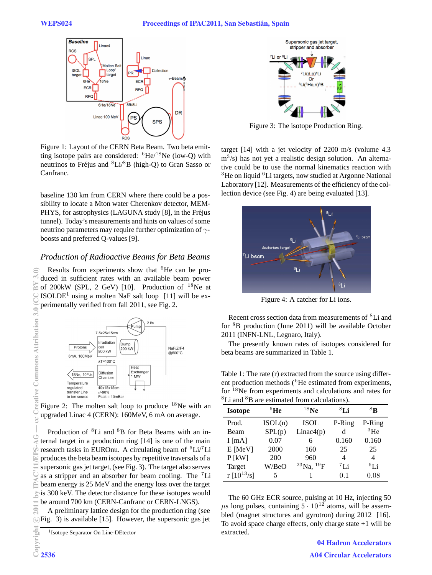

Figure 1: Layout of the CERN Beta Beam. Two beta emitting isotope pairs are considered:  ${}^{6}$ He/ ${}^{18}$ Ne (low-Q) with neutrinos to Fréjus and  ${}^{8}Li/{}^{8}B$  (high-Q) to Gran Sasso or Canfranc.

baseline 130 km from CERN where there could be a possibility to locate a Mton water Cherenkov detector, MEM-PHYS, for astrophysics (LAGUNA study [8], in the Fréjus tunnel). Today's measurements and hints on values of some neutrino parameters may require further optimization of  $\gamma$ boosts and preferred Q-values [9].

### *Production of Radioactive Beams for Beta Beams*

Results from experiments show that <sup>6</sup>He can be produced in sufficient rates with an available beam power of 200kW (SPL, 2 GeV) [10]. Production of  $^{18}$ Ne at  $ISOLDE<sup>1</sup>$  using a molten NaF salt loop [11] will be experimentally verified from fall 2011, see Fig. 2.



Figure 2: The molten salt loop to produce  $18$ Ne with an upgraded Linac 4 (CERN): 160MeV, 6 mA on average.

Production of <sup>8</sup>Li and <sup>8</sup>B for Beta Beams with an internal target in a production ring [14] is one of the main research tasks in EUROnu. A circulating beam of  ${}^{6}Li/{}^{7}Li$ produces the beta beam isotopes by repetitive traversals of a supersonic gas jet target, (see Fig. 3). The target also serves as a stripper and an absorber for beam cooling. The  ${}^{7}$ Li beam energy is 25 MeV and the energy loss over the target is 300 keV. The detector distance for these isotopes would be around 700 km (CERN-Canfranc or CERN-LNGS).

A preliminary lattice design for the production ring (see Fig. 3) is available [15]. However, the supersonic gas jet



Figure 3: The isotope Production Ring.

target [14] with a jet velocity of 2200 m/s (volume 4.3  $\text{m}^3$ /s) has not yet a realistic design solution. An alternative could be to use the normal kinematics reaction with  $3$ He on liquid  $6$ Li targets, now studied at Argonne National Laboratory [12]. Measurements of the efficiency of the collection device (see Fig. 4) are being evaluated [13].



Figure 4: A catcher for Li ions.

Recent cross section data from measurements of <sup>8</sup>Li and for  ${}^{8}B$  production (June 2011) will be available October 2011 (INFN-LNL, Legnaro, Italy).

The presently known rates of isotopes considered for beta beams are summarized in Table 1.

Table 1: The rate (r) extracted from the source using different production methods (<sup>6</sup>He estimated from experiments, for <sup>18</sup>Ne from experiments and calculations and rates for <sup>8</sup>Li and <sup>8</sup>B are estimated from calculations).

| <b>Isotope</b>  | ${}^{6}$ He | $18$ Ne               | ${}^{8}$ Li | ${}^{8}$ R  |
|-----------------|-------------|-----------------------|-------------|-------------|
| Prod.           | ISOL(n)     | ISOL                  | P-Ring      | P-Ring      |
| Beam            | SPL(p)      | Linac4(p)             | d           | ${}^{3}$ He |
| I [mA]          | 0.07        | 6                     | 0.160       | 0.160       |
| E [MeV]         | 2000        | 160                   | 25          | 25          |
| $P$ [kW]        | 200         | 960                   | 4           | 4           |
| Target          | W/BeO       | $^{23}$ Na, $^{19}$ F | $^7$ Li     | $^{6}$ I j  |
| r $[10^{13}/s]$ | 5           |                       | 0.1         | 0.08        |

The 60 GHz ECR source, pulsing at 10 Hz, injecting 50  $\mu$ s long pulses, containing  $5 \cdot 10^{12}$  atoms, will be assembled (magnet structures and gyrotron) during 2012 [16]. To avoid space charge effects, only charge state  $+1$  will be extracted.

> 04 Hadron Accelerators A04 Circular Accelerators

<sup>&</sup>lt;sup>1</sup> Isotope Separator On Line-DEtector